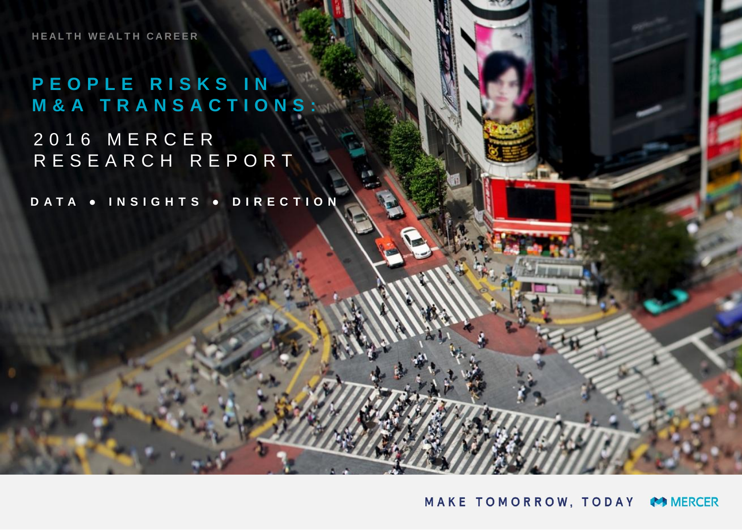**HEALTH WEALTH CAREER**

## **PEOPLE RISKS IN M&A TRANSACTIONS:** 2016 MERCER RESEARCH REPORT

**DATA ● INSIGHTS ● DIRECTION**

MAKE TOMORROW, TODAY COMERCER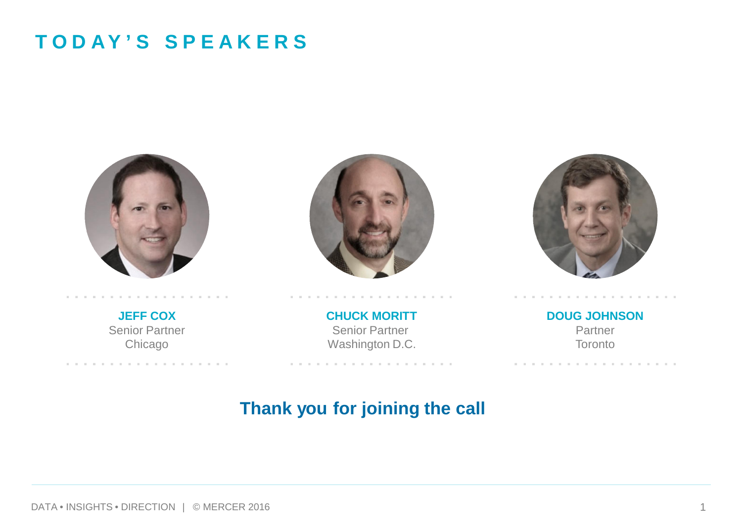### **TODAY'S SPEAKERS**







**JEFF COX** Senior Partner Chicago

. . . . . . . . .

**CHUCK MORITT** Senior Partner Washington D.C.

. . . . . . . . . . .

**DOUG JOHNSON** Partner **Toronto** 

#### **Thank you for joining the call**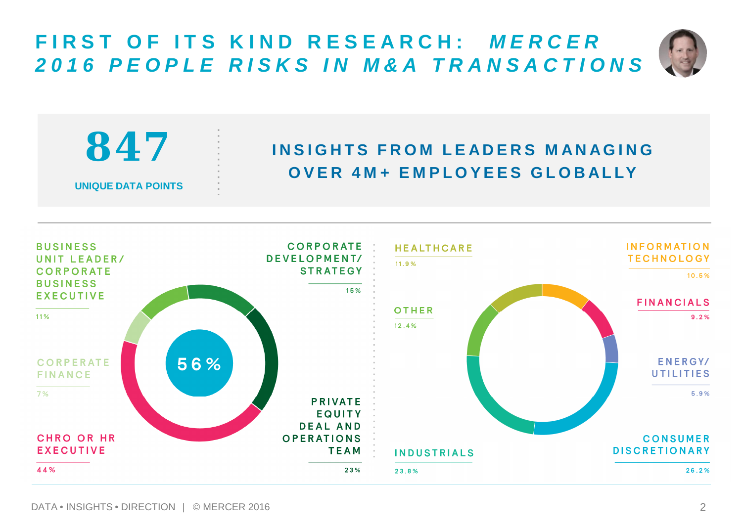## **FIRST OF ITS KIND RESEARCH:** *MERCER 2016 PEOPLE RISKS IN M&A TRANSACTIONS*

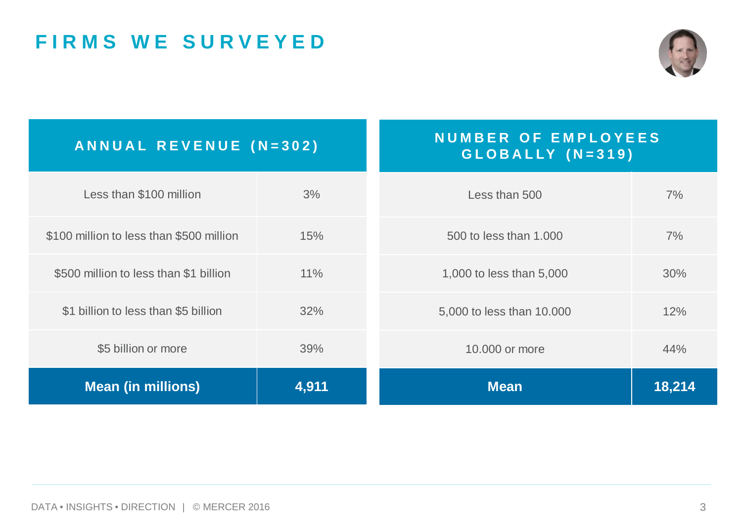## **FIRMS WE SURVEYED**



| ANNUAL REVENUE (N=302)                   |       | <b>NUMBER OF EMPLOYEES</b><br>GLOBALLY (N=319) |        |
|------------------------------------------|-------|------------------------------------------------|--------|
| Less than \$100 million                  | 3%    | Less than 500                                  | $7\%$  |
| \$100 million to less than \$500 million | 15%   | 500 to less than 1,000                         | $7\%$  |
| \$500 million to less than \$1 billion   | 11%   | 1,000 to less than 5,000                       | 30%    |
| \$1 billion to less than \$5 billion     | 32%   | 5,000 to less than 10.000                      | 12%    |
| \$5 billion or more                      | 39%   | 10,000 or more                                 | 44%    |
| <b>Mean (in millions)</b>                | 4,911 | <b>Mean</b>                                    | 18,214 |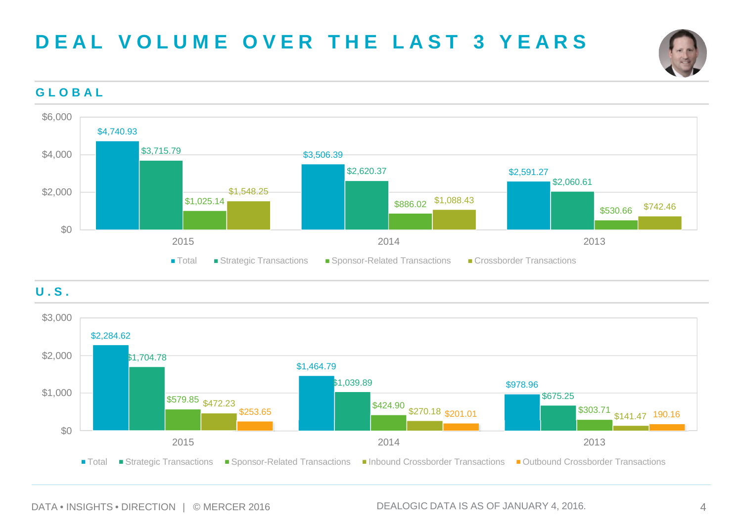# **DEAL VOLUME OVER THE LAST 3 YEARS**



#### **GLOBAL**



#### **U.S.**

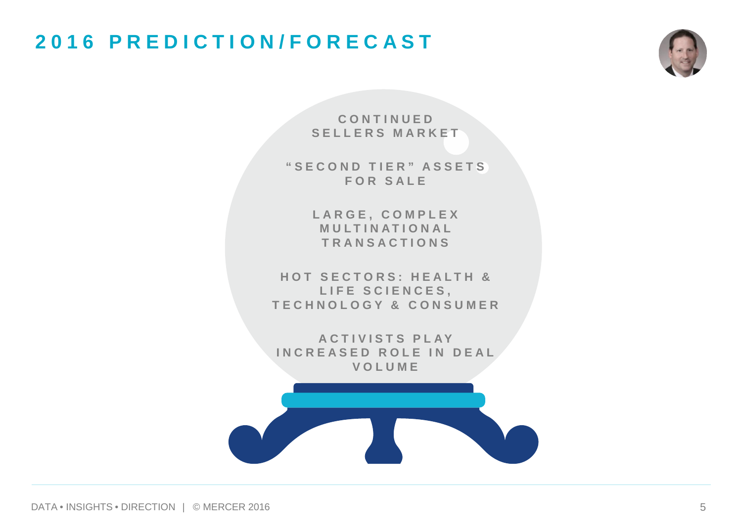### **2016 PREDICTION/FORECAST**



**CONTINUED SELLERS MARKET**

**"SECOND TIER" ASSETS FOR SALE**

> **LARGE, COMPLEX MULTINATIONAL TRANSACTIONS**

**HOT SECTORS: HEALTH & LIFE SCIENCES, TECHNOLOGY & CONSUMER**

**ACT IVIST S PLAY INCREASED ROLE IN DEAL VOLUME**

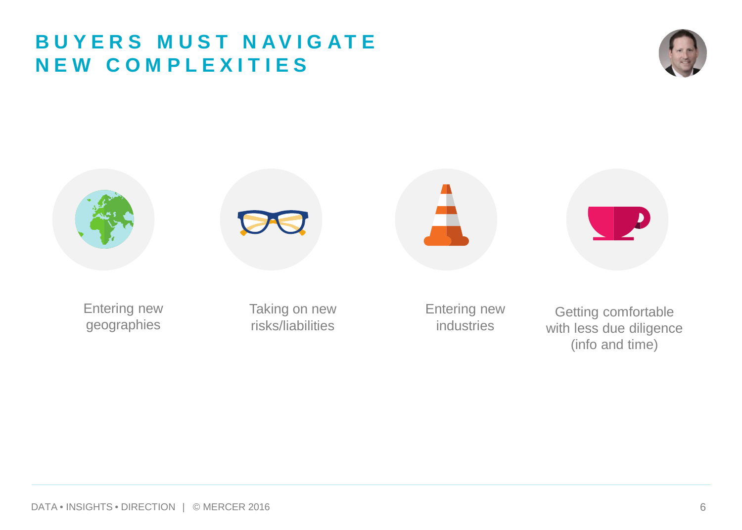### **BUYERS MUST NAVIGATE NEW COMPLEXITIES**





(info and time)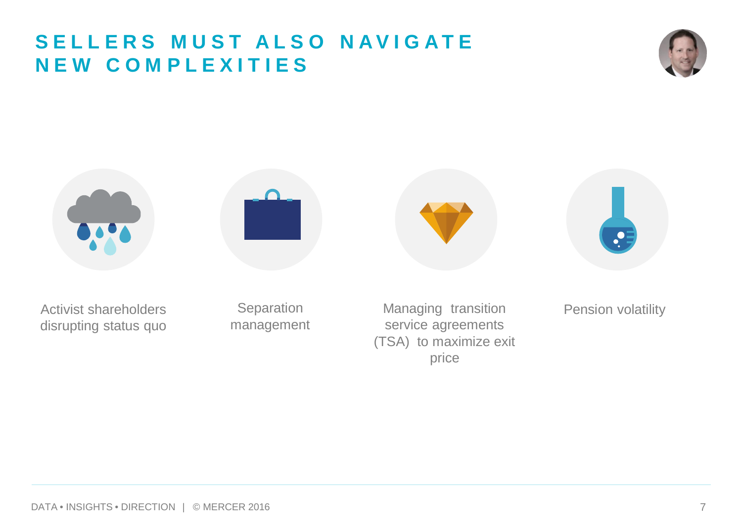### **SELLERS MUST ALSO NAVIGATE NEW COMPLEXITIES**





Activist shareholders disrupting status quo

**Separation** management

Managing transition service agreements (TSA) to maximize exit price

Pension volatility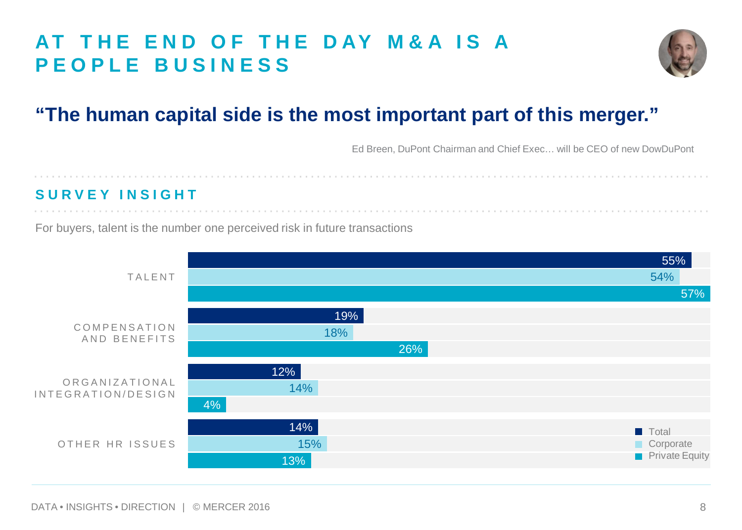### **AT THE END OF THE DAY M&A IS A PEOPLE BUSINESS**



#### **"The human capital side is the most important part of this merger."**

Ed Breen, DuPont Chairman and Chief Exec… will be CEO of new DowDuPont

#### **SURVEY INSIGHT**

For buyers, talent is the number one perceived risk in future transactions

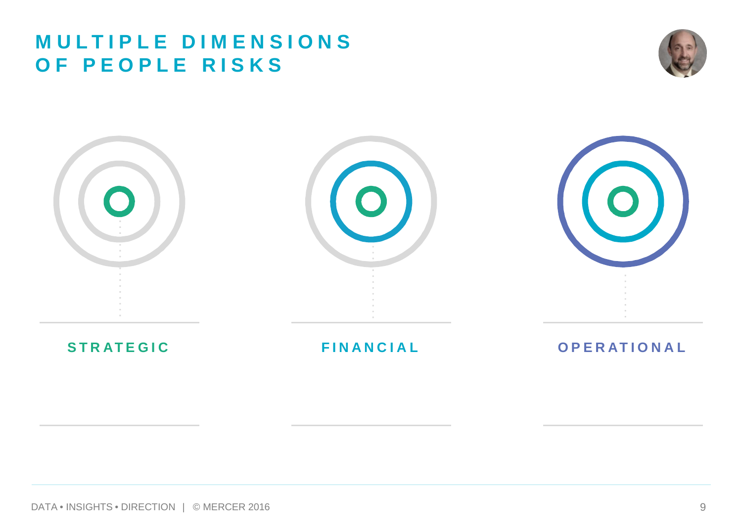#### **MULTIPLE DIMENSIONS OF PEOPLE RISKS**



| $\bigcap$ | $\circ$ | $\overline{(\circ)}$ |
|-----------|---------|----------------------|
|           |         |                      |

**STRATEGIC FINANCIAL OPERATIONAL**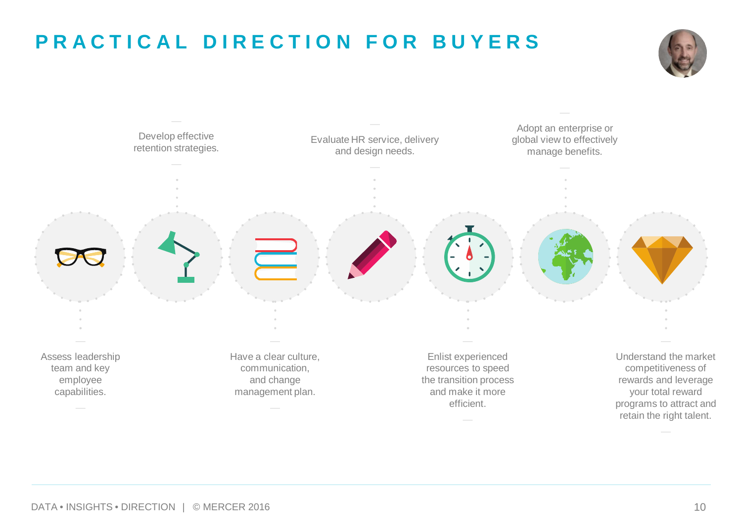# **PRACTICAL DIRECTION FOR BUYERS**



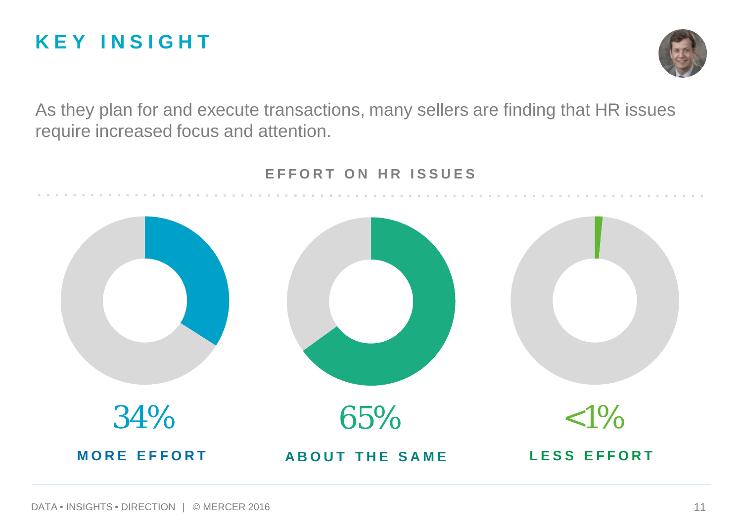## **KEY INSIGHT**



As they plan for and execute transactions, many sellers are finding that HR issues require increased focus and attention.



#### **EFFORT ON HR ISSUES**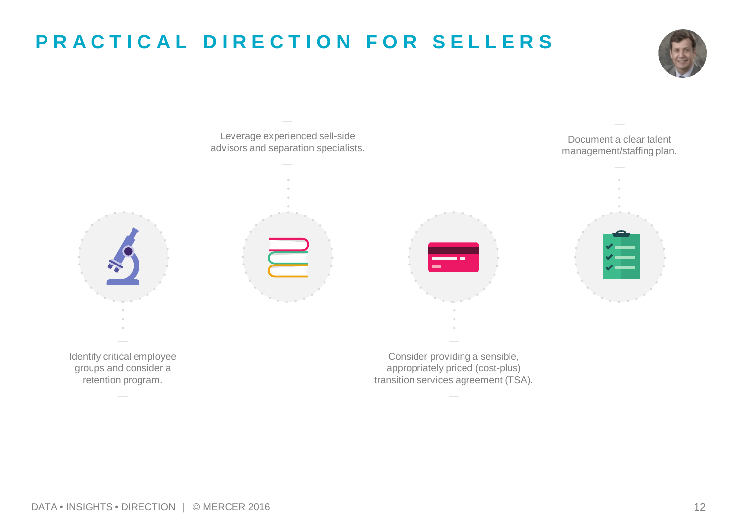# **PRACTICAL DIRECTION FOR SELLERS**



Leverage experienced sell-side advisors and separation specialists.

—

—



Identify critical employee groups and consider a retention program.

—





Consider providing a sensible, appropriately priced (cost-plus) transition services agreement (TSA).

—

Document a clear talent management/staffing plan.

—



DATA • INSIGHTS • DIRECTION | © MERCER 2016 12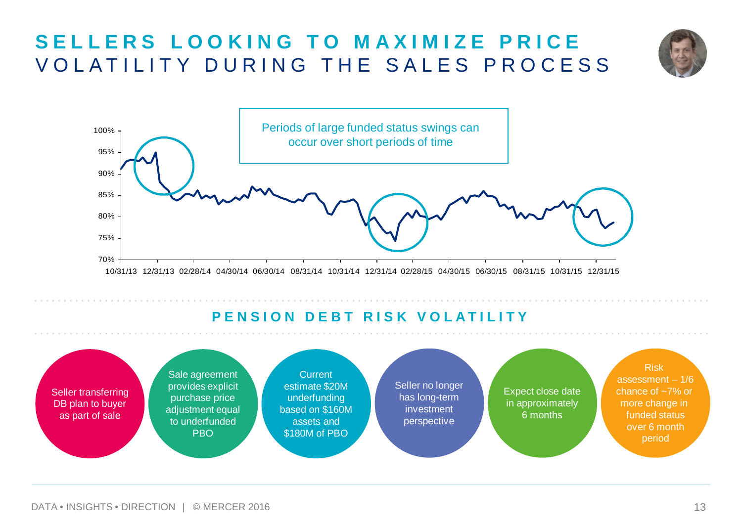## **SELLERS LOOKING TO MAXIMIZE PRICE** VOLATILITY DURING THE SALES PROCESS





#### **PENSION DEBT RISK VOLATILITY**

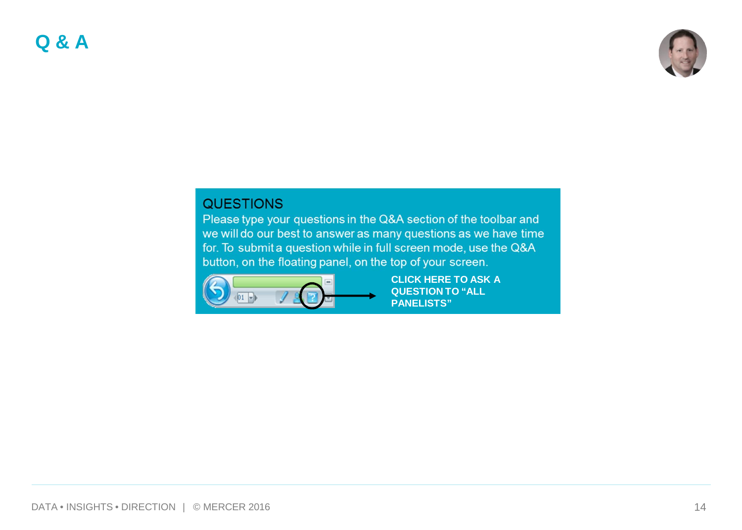**Q&A**



#### **QUESTIONS**

Please type your questions in the Q&A section of the toolbar and we will do our best to answer as many questions as we have time for. To submit a question while in full screen mode, use the Q&A button, on the floating panel, on the top of your screen.



**CLICK HERE TO ASK A QUESTION TO "ALL PANELISTS"**